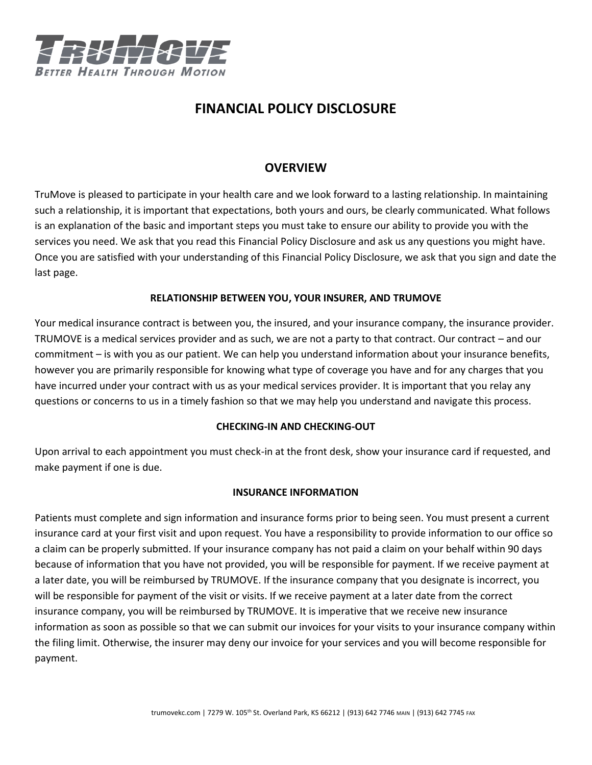

# **FINANCIAL POLICY DISCLOSURE**

## **OVERVIEW**

TruMove is pleased to participate in your health care and we look forward to a lasting relationship. In maintaining such a relationship, it is important that expectations, both yours and ours, be clearly communicated. What follows is an explanation of the basic and important steps you must take to ensure our ability to provide you with the services you need. We ask that you read this Financial Policy Disclosure and ask us any questions you might have. Once you are satisfied with your understanding of this Financial Policy Disclosure, we ask that you sign and date the last page.

## **RELATIONSHIP BETWEEN YOU, YOUR INSURER, AND TRUMOVE**

Your medical insurance contract is between you, the insured, and your insurance company, the insurance provider. TRUMOVE is a medical services provider and as such, we are not a party to that contract. Our contract – and our commitment – is with you as our patient. We can help you understand information about your insurance benefits, however you are primarily responsible for knowing what type of coverage you have and for any charges that you have incurred under your contract with us as your medical services provider. It is important that you relay any questions or concerns to us in a timely fashion so that we may help you understand and navigate this process.

## **CHECKING-IN AND CHECKING-OUT**

Upon arrival to each appointment you must check-in at the front desk, show your insurance card if requested, and make payment if one is due.

## **INSURANCE INFORMATION**

Patients must complete and sign information and insurance forms prior to being seen. You must present a current insurance card at your first visit and upon request. You have a responsibility to provide information to our office so a claim can be properly submitted. If your insurance company has not paid a claim on your behalf within 90 days because of information that you have not provided, you will be responsible for payment. If we receive payment at a later date, you will be reimbursed by TRUMOVE. If the insurance company that you designate is incorrect, you will be responsible for payment of the visit or visits. If we receive payment at a later date from the correct insurance company, you will be reimbursed by TRUMOVE. It is imperative that we receive new insurance information as soon as possible so that we can submit our invoices for your visits to your insurance company within the filing limit. Otherwise, the insurer may deny our invoice for your services and you will become responsible for payment.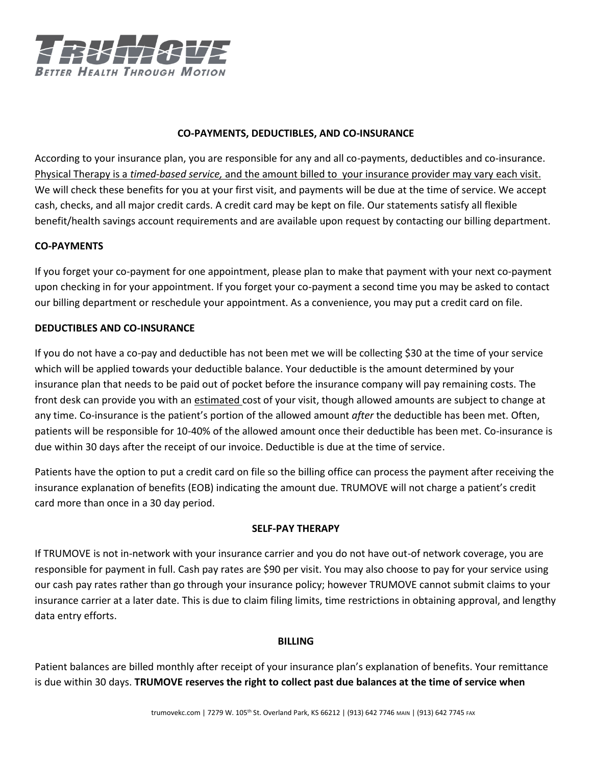

### **CO-PAYMENTS, DEDUCTIBLES, AND CO-INSURANCE**

According to your insurance plan, you are responsible for any and all co-payments, deductibles and co-insurance. Physical Therapy is a *timed-based service,* and the amount billed to your insurance provider may vary each visit. We will check these benefits for you at your first visit, and payments will be due at the time of service. We accept cash, checks, and all major credit cards. A credit card may be kept on file. Our statements satisfy all flexible benefit/health savings account requirements and are available upon request by contacting our billing department.

#### **CO-PAYMENTS**

If you forget your co-payment for one appointment, please plan to make that payment with your next co-payment upon checking in for your appointment. If you forget your co-payment a second time you may be asked to contact our billing department or reschedule your appointment. As a convenience, you may put a credit card on file.

#### **DEDUCTIBLES AND CO-INSURANCE**

If you do not have a co-pay and deductible has not been met we will be collecting \$30 at the time of your service which will be applied towards your deductible balance. Your deductible is the amount determined by your insurance plan that needs to be paid out of pocket before the insurance company will pay remaining costs. The front desk can provide you with an estimated cost of your visit, though allowed amounts are subject to change at any time. Co-insurance is the patient's portion of the allowed amount *after* the deductible has been met. Often, patients will be responsible for 10-40% of the allowed amount once their deductible has been met. Co-insurance is due within 30 days after the receipt of our invoice. Deductible is due at the time of service.

Patients have the option to put a credit card on file so the billing office can process the payment after receiving the insurance explanation of benefits (EOB) indicating the amount due. TRUMOVE will not charge a patient's credit card more than once in a 30 day period.

#### **SELF-PAY THERAPY**

If TRUMOVE is not in-network with your insurance carrier and you do not have out-of network coverage, you are responsible for payment in full. Cash pay rates are \$90 per visit. You may also choose to pay for your service using our cash pay rates rather than go through your insurance policy; however TRUMOVE cannot submit claims to your insurance carrier at a later date. This is due to claim filing limits, time restrictions in obtaining approval, and lengthy data entry efforts.

#### **BILLING**

Patient balances are billed monthly after receipt of your insurance plan's explanation of benefits. Your remittance is due within 30 days. **TRUMOVE reserves the right to collect past due balances at the time of service when**